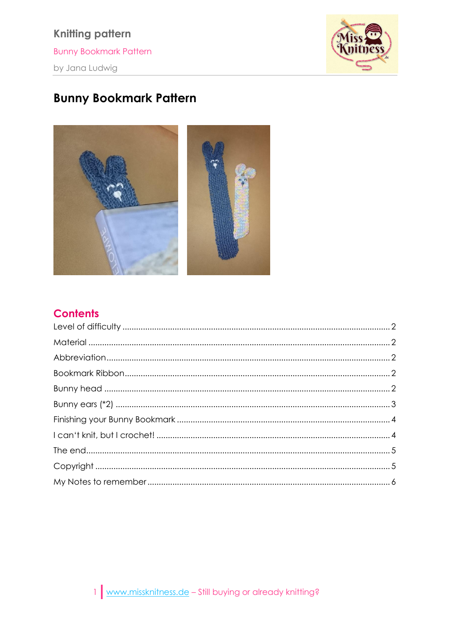**Knitting pattern Bunny Bookmark Pattern** by Jana Ludwig



# **Bunny Bookmark Pattern**



### **Contents**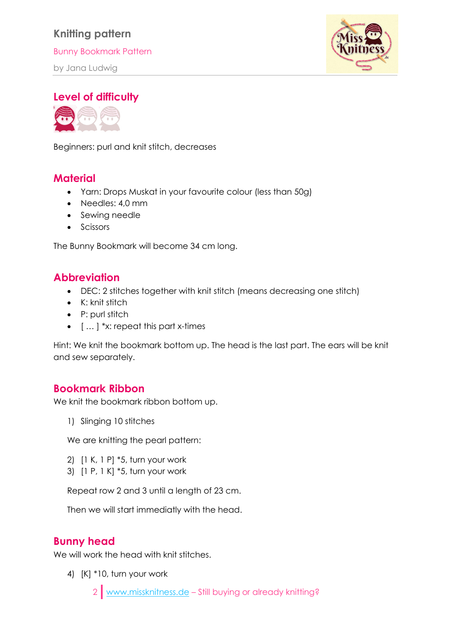Bunny Bookmark Pattern

by Jana Ludwig



<span id="page-1-0"></span>**Level of difficulty**



Beginners: purl and knit stitch, decreases

#### <span id="page-1-1"></span>**Material**

- Yarn: Drops Muskat in your favourite colour (less than 50g)
- Needles: 4,0 mm
- Sewing needle
- Scissors

The Bunny Bookmark will become 34 cm long.

#### <span id="page-1-2"></span>**Abbreviation**

- DEC: 2 stitches together with knit stitch (means decreasing one stitch)
- K: knit stitch
- P: purl stitch
- $\bullet$  [  $\ldots$  ] \*x: repeat this part x-times

Hint: We knit the bookmark bottom up. The head is the last part. The ears will be knit and sew separately.

#### <span id="page-1-3"></span>**Bookmark Ribbon**

We knit the bookmark ribbon bottom up.

1) Slinging 10 stitches

We are knitting the pearl pattern:

- 2) [1 K, 1 P] \*5, turn your work
- 3) [1 P, 1 K] \*5, turn your work

Repeat row 2 and 3 until a length of 23 cm.

Then we will start immediatly with the head.

#### <span id="page-1-4"></span>**Bunny head**

We will work the head with knit stitches.

4) [K] \*10, turn your work

2 [www.missknitness.de](http://www.missknitness.de/) – Still buying or already knitting?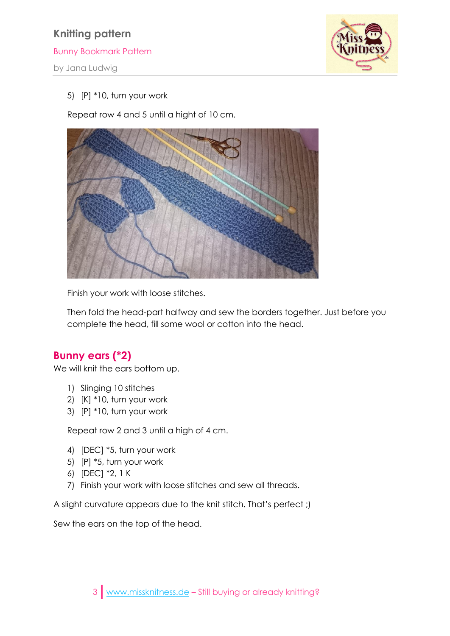Bunny Bookmark Pattern

by Jana Ludwig



#### 5) [P] \*10, turn your work

Repeat row 4 and 5 until a hight of 10 cm.



Finish your work with loose stitches.

Then fold the head-part halfway and sew the borders together. Just before you complete the head, fill some wool or cotton into the head.

#### <span id="page-2-0"></span>**Bunny ears (\*2)**

We will knit the ears bottom up.

- 1) Slinging 10 stitches
- 2) [K] \*10, turn your work
- 3) [P] \*10, turn your work

Repeat row 2 and 3 until a high of 4 cm.

- 4) [DEC] \*5, turn your work
- 5) [P] \*5, turn your work
- 6) [DEC] \*2, 1 K
- 7) Finish your work with loose stitches and sew all threads.

A slight curvature appears due to the knit stitch. That's perfect ;)

Sew the ears on the top of the head.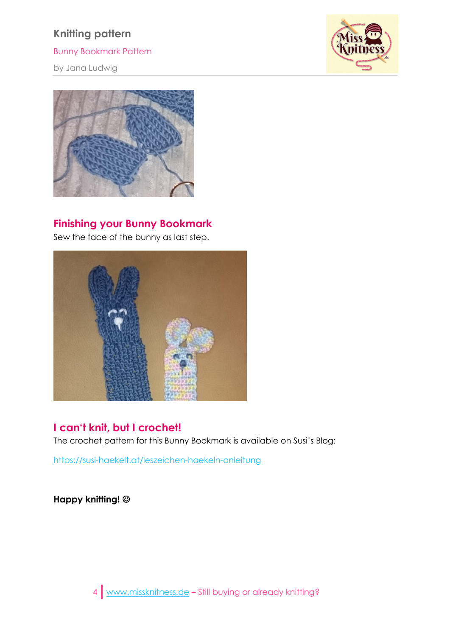Bunny Bookmark Pattern

by Jana Ludwig





#### <span id="page-3-0"></span>**Finishing your Bunny Bookmark**

Sew the face of the bunny as last step.



## <span id="page-3-1"></span>**I can't knit, but I crochet!**

The crochet pattern for this Bunny Bookmark is available on Susi's Blog:

<https://susi-haekelt.at/leszeichen-haekeln-anleitung>

**Happy knitting!**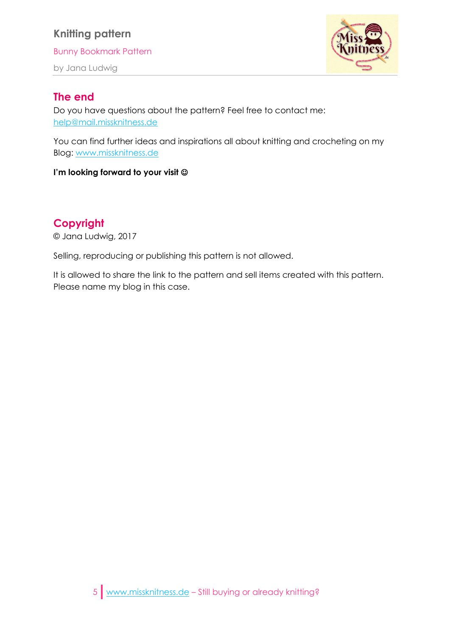Bunny Bookmark Pattern

by Jana Ludwig



#### <span id="page-4-0"></span>**The end**

Do you have questions about the pattern? Feel free to contact me: [help@mail.missknitness.de](mailto:help@mail.missknitness.de)

You can find further ideas and inspirations all about knitting and crocheting on my Blog: [www.missknitness.de](http://www.missknitness.de/)

#### **I'm looking forward to your visit**

### <span id="page-4-1"></span>**Copyright**

© Jana Ludwig, 2017

Selling, reproducing or publishing this pattern is not allowed.

It is allowed to share the link to the pattern and sell items created with this pattern. Please name my blog in this case.